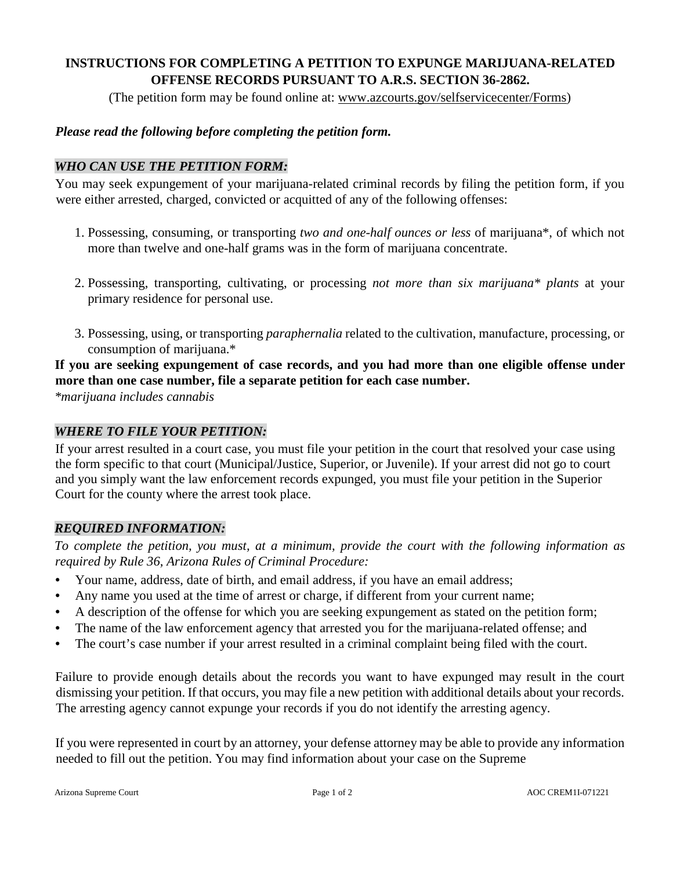## **INSTRUCTIONS FOR COMPLETING A PETITION TO EXPUNGE MARIJUANA-RELATED OFFENSE RECORDS PURSUANT TO A.R.S. SECTION 36-2862.**

(The petition form may be found online at: www.azcourts.gov/selfservicecenter/Forms)

#### *Please read the following before completing the petition form.*

### *WHO CAN USE THE PETITION FORM:*

You may seek expungement of your marijuana-related criminal records by filing the petition form, if you were either arrested, charged, convicted or acquitted of any of the following offenses:

- 1. Possessing, consuming, or transporting *two and one-half ounces or less* of marijuana\*, of which not more than twelve and one-half grams was in the form of marijuana concentrate.
- 2. Possessing, transporting, cultivating, or processing *not more than six marijuana\* plants* at your primary residence for personal use.
- 3. Possessing, using, or transporting *paraphernalia* related to the cultivation, manufacture, processing, or consumption of marijuana.\*

## **If you are seeking expungement of case records, and you had more than one eligible offense under more than one case number, file a separate petition for each case number.**

*\*marijuana includes cannabis* 

#### *WHERE TO FILE YOUR PETITION:*

If your arrest resulted in a court case, you must file your petition in the court that resolved your case using the form specific to that court (Municipal/Justice, Superior, or Juvenile). If your arrest did not go to court and you simply want the law enforcement records expunged, you must file your petition in the Superior Court for the county where the arrest took place.

### *REQUIRED INFORMATION:*

*To complete the petition, you must, at a minimum, provide the court with the following information as required by Rule 36, Arizona Rules of Criminal Procedure:* 

- Your name, address, date of birth, and email address, if you have an email address;
- Any name you used at the time of arrest or charge, if different from your current name;
- A description of the offense for which you are seeking expungement as stated on the petition form;
- The name of the law enforcement agency that arrested you for the marijuana-related offense; and
- The court's case number if your arrest resulted in a criminal complaint being filed with the court.

Failure to provide enough details about the records you want to have expunged may result in the court dismissing your petition. If that occurs, you may file a new petition with additional details about your records. The arresting agency cannot expunge your records if you do not identify the arresting agency.

If you were represented in court by an attorney, your defense attorney may be able to provide any information needed to fill out the petition. You may find information about your case on the Supreme